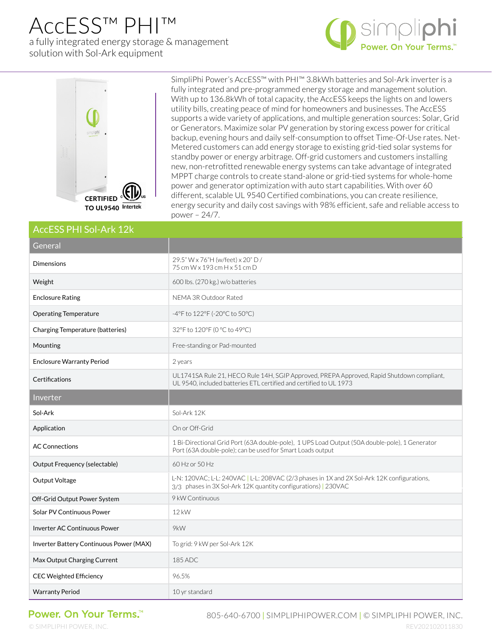## AccESS™ PHI™ a fully integrated energy storage & management solution with Sol-Ark equipment





SimpliPhi Power's AccESS™ with PHI™ 3.8kWh batteries and Sol-Ark inverter is a fully integrated and pre-programmed energy storage and management solution. With up to 136.8kWh of total capacity, the AccESS keeps the lights on and lowers utility bills, creating peace of mind for homeowners and businesses. The AccESS supports a wide variety of applications, and multiple generation sources: Solar, Grid or Generators. Maximize solar PV generation by storing excess power for critical backup, evening hours and daily self-consumption to offset Time-Of-Use rates. Net-Metered customers can add energy storage to existing grid-tied solar systems for standby power or energy arbitrage. Off-grid customers and customers installing new, non-retrofitted renewable energy systems can take advantage of integrated MPPT charge controls to create stand-alone or grid-tied systems for whole-home power and generator optimization with auto start capabilities. With over 60 different, scalable UL 9540 Certified combinations, you can create resilience, energy security and daily cost savings with 98% efficient, safe and reliable access to power – 24/7.

## AccESS PHI Sol-Ark 12k

| General                                 |                                                                                                                                                                 |
|-----------------------------------------|-----------------------------------------------------------------------------------------------------------------------------------------------------------------|
| <b>Dimensions</b>                       | 29.5" W x 76"H (w/feet) x 20" D /<br>75 cm W x 193 cm H x 51 cm D                                                                                               |
| Weight                                  | 600 lbs. (270 kg.) w/o batteries                                                                                                                                |
| <b>Enclosure Rating</b>                 | NEMA 3R Outdoor Rated                                                                                                                                           |
| <b>Operating Temperature</b>            | -4°F to 122°F (-20°C to 50°C)                                                                                                                                   |
| Charging Temperature (batteries)        | 32°F to 120°F (0 °C to 49°C)                                                                                                                                    |
| Mounting                                | Free-standing or Pad-mounted                                                                                                                                    |
| <b>Enclosure Warranty Period</b>        | 2 years                                                                                                                                                         |
| Certifications                          | UL1741SA Rule 21, HECO Rule 14H, SGIP Approved, PREPA Approved, Rapid Shutdown compliant,<br>UL 9540, included batteries ETL certified and certified to UL 1973 |
| Inverter                                |                                                                                                                                                                 |
| Sol-Ark                                 | Sol-Ark 12K                                                                                                                                                     |
| Application                             | On or Off-Grid                                                                                                                                                  |
| <b>AC Connections</b>                   | 1 Bi-Directional Grid Port (63A double-pole), 1 UPS Load Output (50A double-pole), 1 Generator<br>Port (63A double-pole); can be used for Smart Loads output    |
| Output Frequency (selectable)           | 60 Hz or 50 Hz                                                                                                                                                  |
| Output Voltage                          | L-N: 120VAC; L-L: 240VAC   L-L: 208VAC (2/3 phases in 1X and 2X Sol-Ark 12K configurations,<br>3/3 phases in 3X Sol-Ark 12K quantity configurations)   230VAC   |
| Off-Grid Output Power System            | 9 kW Continuous                                                                                                                                                 |
| Solar PV Continuous Power               | $12$ kW                                                                                                                                                         |
| <b>Inverter AC Continuous Power</b>     | 9kW                                                                                                                                                             |
| Inverter Battery Continuous Power (MAX) | To grid: 9 kW per Sol-Ark 12K                                                                                                                                   |
| Max Output Charging Current             | 185 ADC                                                                                                                                                         |
| <b>CEC Weighted Efficiency</b>          | 96.5%                                                                                                                                                           |
| <b>Warranty Period</b>                  | 10 yr standard                                                                                                                                                  |

## Power. On Your Terms.<sup>™</sup>

805-640-6700 | SIMPLIPHIPOWER.COM | © SIMPLIPHI POWER, INC.